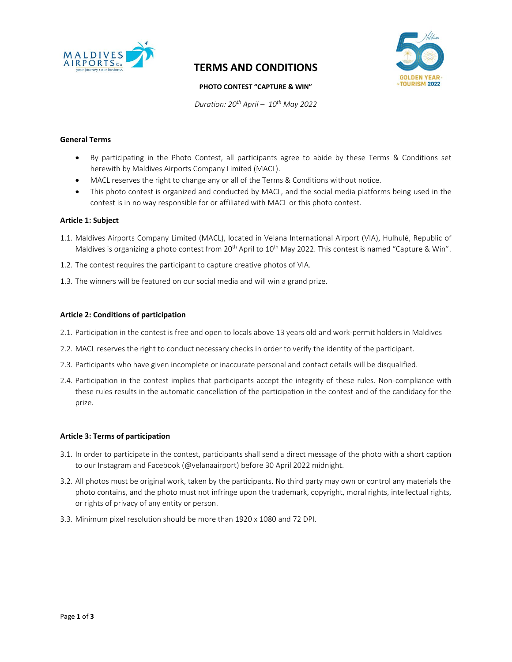

# **TERMS AND CONDITIONS**



## **PHOTO CONTEST "CAPTURE & WIN"**

*Duration: 20th April – 10 th May 2022*

#### **General Terms**

- By participating in the Photo Contest, all participants agree to abide by these Terms & Conditions set herewith by Maldives Airports Company Limited (MACL).
- MACL reserves the right to change any or all of the Terms & Conditions without notice.
- This photo contest is organized and conducted by MACL, and the social media platforms being used in the contest is in no way responsible for or affiliated with MACL or this photo contest.

## **Article 1: Subject**

- 1.1. Maldives Airports Company Limited (MACL), located in Velana International Airport (VIA), Hulhulé, Republic of Maldives is organizing a photo contest from 20<sup>th</sup> April to 10<sup>th</sup> May 2022. This contest is named "Capture & Win".
- 1.2. The contest requires the participant to capture creative photos of VIA.
- 1.3. The winners will be featured on our social media and will win a grand prize.

## **Article 2: Conditions of participation**

- 2.1. Participation in the contest is free and open to locals above 13 years old and work-permit holders in Maldives
- 2.2. MACL reserves the right to conduct necessary checks in order to verify the identity of the participant.
- 2.3. Participants who have given incomplete or inaccurate personal and contact details will be disqualified.
- 2.4. Participation in the contest implies that participants accept the integrity of these rules. Non-compliance with these rules results in the automatic cancellation of the participation in the contest and of the candidacy for the prize.

#### **Article 3: Terms of participation**

- 3.1. In order to participate in the contest, participants shall send a direct message of the photo with a short caption to our Instagram and Facebook (@velanaairport) before 30 April 2022 midnight.
- 3.2. All photos must be original work, taken by the participants. No third party may own or control any materials the photo contains, and the photo must not infringe upon the trademark, copyright, moral rights, intellectual rights, or rights of privacy of any entity or person.
- 3.3. Minimum pixel resolution should be more than 1920 x 1080 and 72 DPI.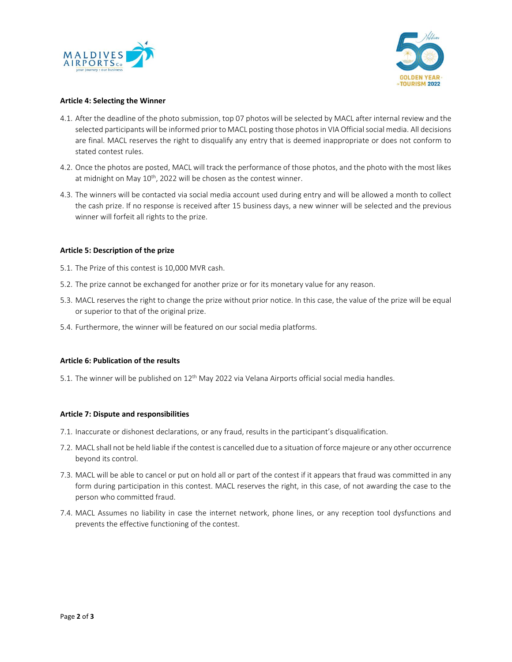



#### **Article 4: Selecting the Winner**

- 4.1. After the deadline of the photo submission, top 07 photos will be selected by MACL after internal review and the selected participants will be informed prior to MACL posting those photos in VIA Official social media. All decisions are final. MACL reserves the right to disqualify any entry that is deemed inappropriate or does not conform to stated contest rules.
- 4.2. Once the photos are posted, MACL will track the performance of those photos, and the photo with the most likes at midnight on May 10<sup>th</sup>, 2022 will be chosen as the contest winner.
- 4.3. The winners will be contacted via social media account used during entry and will be allowed a month to collect the cash prize. If no response is received after 15 business days, a new winner will be selected and the previous winner will forfeit all rights to the prize.

# **Article 5: Description of the prize**

- 5.1. The Prize of this contest is 10,000 MVR cash.
- 5.2. The prize cannot be exchanged for another prize or for its monetary value for any reason.
- 5.3. MACL reserves the right to change the prize without prior notice. In this case, the value of the prize will be equal or superior to that of the original prize.
- 5.4. Furthermore, the winner will be featured on our social media platforms.

#### **Article 6: Publication of the results**

5.1. The winner will be published on  $12<sup>th</sup>$  May 2022 via Velana Airports official social media handles.

#### **Article 7: Dispute and responsibilities**

- 7.1. Inaccurate or dishonest declarations, or any fraud, results in the participant's disqualification.
- 7.2. MACL shall not be held liable if the contest is cancelled due to a situation of force majeure or any other occurrence beyond its control.
- 7.3. MACL will be able to cancel or put on hold all or part of the contest if it appears that fraud was committed in any form during participation in this contest. MACL reserves the right, in this case, of not awarding the case to the person who committed fraud.
- 7.4. MACL Assumes no liability in case the internet network, phone lines, or any reception tool dysfunctions and prevents the effective functioning of the contest.